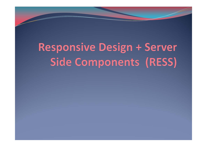## **Responsive Design + Server** Side Components (RESS)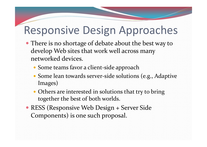#### Responsive Design Approaches

- There is no shortage of debate about the best way to develop Web sites that work well across many networked devices.
	- Some teams favor <sup>a</sup> client‐side approach
	- Some lean towards server‐side solutions (e.g., Adaptive Images)
	- Others are interested in solutions that try to bring together the best of both worlds.
- RESS (Responsive Web Design <sup>+</sup> Server Side Components) is one such proposal.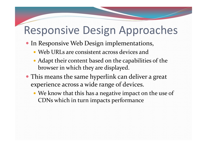#### Responsive Design Approaches

- **In Responsive Web Design implementations,** 
	- Web URLs are consistent across devices and
	- Adapt their content based on the capabilities of the browser in which they are displayed.
- This means the same hyperlink can deliver <sup>a</sup> grea<sup>t</sup> experience across <sup>a</sup> wide range of devices.
	- We know that this has <sup>a</sup> negative impact on the use of CDNs which in turn impacts performance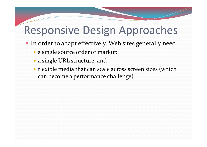#### Responsive Design Approaches

- In order to adapt effectively, Web sites generally need
	- <sup>a</sup> single source order of markup,
	- <sup>a</sup> single URL structure, and
	- flexible media that can scale across screen sizes (which can become <sup>a</sup> performance challenge).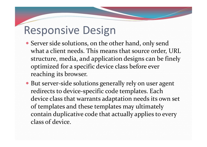#### Responsive Design

- Server side solutions, on the other hand, only send what a client needs. This means that source order, URL structure, media, and application designs can be finely optimized for <sup>a</sup> specific device class before ever reaching its browser.
- But server-side solutions generally rely on user agent redirects to device‐specific code templates. Each device class that warrants adaptation needs its own set of templates and these templates may ultimately contain duplicative code that actually applies to every class of device.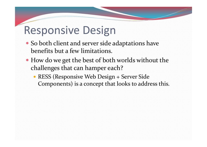#### Responsive Design

- So both client and server side adaptations have benefits but <sup>a</sup> few limitations.
- How do we ge<sup>t</sup> the best of both worlds without the challenges that can hamper each?
	- RESS (Responsive Web Design <sup>+</sup> Server Side Components) is <sup>a</sup> concep<sup>t</sup> that looks to address this.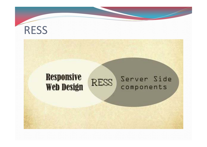#### RESS

#### **Responsive** Server Side **RESS Web Design** components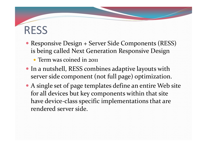#### RESS

- Responsive Design <sup>+</sup> Server Side Components (RESS) is being called Next Generation Responsive Design • Term was coined in 2011
- In <sup>a</sup> nutshell, RESS combines adaptive layouts with server side componen<sup>t</sup> (not full page) optimization.
- A single set of page templates define an entire Web site for all devices but key components within that site have device‐class specific implementations that are rendered server side.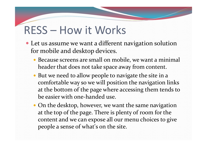#### RESS – How it Works

- Let us assume we want <sup>a</sup> different navigation solution for mobile and desktop devices.
	- Because screens are small on mobile, we want <sup>a</sup> minimal header that does not take space away from content.
	- But we need to allow people to navigate the site in <sup>a</sup> comfortable way so we will position the navigation links at the bottom of the page where accessing them tends to be easier with one‐handed use.
	- On the desktop, however, we want the same navigation at the top of the page. There is plenty of room for the content and we can expose all our menu choices to give people <sup>a</sup> sense of what's on the site.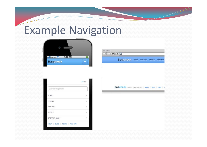#### Example Navigation



**COC** Bagcheck HOME EXPLORE PEOPLE CREATED

|                           | ATOP |
|---------------------------|------|
| Search Bagcheck           |      |
| <b>HOME</b>               | Э    |
| PROFILE                   | - 31 |
| EXPLORE                   | - 2  |
| PEOPLE                    | - 3  |
| CREATE A BAG +            | - 2  |
| HELP BLOG TERMS FULL SITE |      |

Bagcheck 02011 Bagcheckins. | About | Blog | Help | 1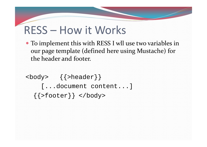#### RESS – How it Works

 To implement this with RESS I wll use two variables in our page template (defined here using Mustache) for the header and footer.

<body> {{>header}} [...document content...]  $\{\{\texttt{footer}\}\}\$  </body>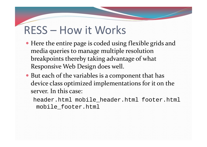#### RESS – How it Works

- Here the entire page is coded using flexible grids and media queries to manage multiple resolution breakpoints thereby taking advantage of what Responsive Web Design does well.
- But each of the variables is <sup>a</sup> componen<sup>t</sup> that has device class optimized implementations for it on the server. In this case:
	- header.html mobile\_header.html footer.html mobile\_footer.html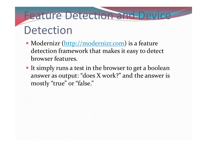### Feature Detection and Device Detection

- Modernizr (http://modernizr.com) is a feature detection framework that makes it easy to detect browser features.
- It simply runs a test in the browser to get a boolean answer as output: "does X work?" and the answer is mostly "true" or "false."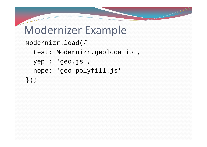#### Modernizer Example

```
Modernizr.load({
  test: Modernizr.geolocation,
  yep : 'geo.js',
  nope: 'geo-polyfill.js'
});
```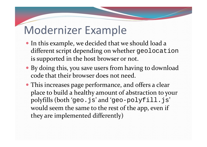#### Modernizer Example

- In this example, we decided that we should load <sup>a</sup> different script depending on whether geolocation is supported in the host browser or not.
- By doing this, you save users from having to download code that their browser does not need.
- This increases page performance, and offers <sup>a</sup> clear place to build <sup>a</sup> healthy amount of abstraction to your polyfills (both 'geo.js' and 'geo-polyfill.js' would seem the same to the rest of the app, even if they are implemented differently)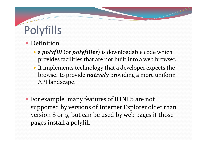# Polyfills

- Definition
	- <sup>a</sup> *polyfill* (or *polyfiller*) is downloadable code which provides facilities that are not built into <sup>a</sup> web browser.
	- It implements technology that <sup>a</sup> developer expects the browser to provide *natively* providing <sup>a</sup> more uniform API landscape.
- For example, many features of HTML5 are not supported by versions of Internet Explorer older than version <sup>8</sup> or 9, but can be used by web pages if those pages install <sup>a</sup> polyfill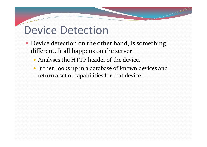#### Device Detection

- Device detection on the other hand, is something different. It all happens on the server
	- Analyses the HTTP header of the device.
	- It then looks up in <sup>a</sup> database of known devices and return <sup>a</sup> set of capabilities for that device.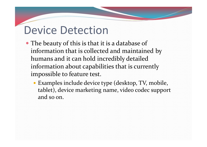#### Device Detection

- The beauty of this is that it is <sup>a</sup> database of information that is collected and maintained by humans and it can hold incredibly detailed information about capabilities that is currently impossible to feature test.
	- Examples include device type (desktop, TV, mobile, tablet), device marketing name, video codec suppor<sup>t</sup> and so on.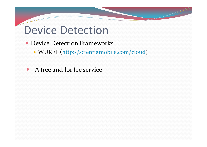#### Device Detection

- Device Detection Frameworks
	- WURFL (http://scientiamobile.com/cloud)
- A free and for fee service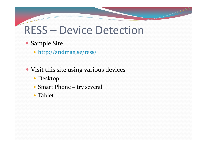#### RESS – Device Detection

#### Sample Site

- http://andmag.se/ress/
- Visit this site using various devices
	- Desktop
	- Smart Phone try several
	- Tablet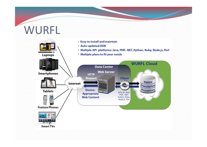#### WURFL

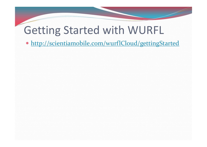#### Getting Started with WURFL

http://scientiamobile.com/wurflCloud/gettingStarted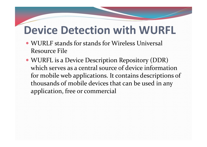- WURLF stands for stands for Wireless Universal Resource File
- WURFL is <sup>a</sup> Device Description Repository (DDR) which serves as <sup>a</sup> central source of device informationfor mobile web applications. It contains descriptions of thousands of mobile devices that can be used in any application, free or commercial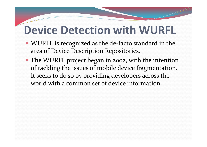- WURFL is recognized as the de-facto standard in the area of Device Description Repositories.
- The WURFL project began in 2002, with the intention of tackling the issues of mobile device fragmentation. It seeks to do so by providing developers across the world with a common set of device information.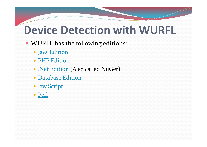- WURFL has the following editions:
	- Java Edition
	- PHP Edition
	- Net Edition (Also called NuGet)
	- Database Edition
	- JavaScript
	- Perl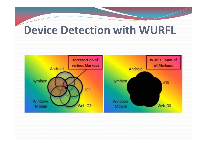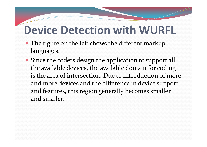- The figure on the left shows the different markup languages.
- Since the coders design the application to suppor<sup>t</sup> all the available devices, the available domain for coding is the area of intersection. Due to introduction of more and more devices and the difference in device suppor<sup>t</sup> and features, this region generally becomes smaller and smaller.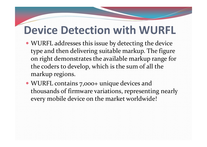- WURFL addresses this issue by detecting the device type and then delivering suitable markup. The figure on right demonstrates the available markup range for the coders to develop, which is the sum of all the markup regions.
- WURFL contains 7,000+ unique devices and thousands of firmware variations, representing nearly every mobile device on the market worldwide!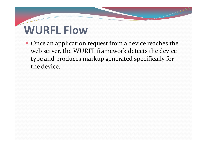## **WURFL Flow**

 Once an application reques<sup>t</sup> from <sup>a</sup> device reaches the web server, the WURFL framework detects the device type and produces markup generated specifically for the device.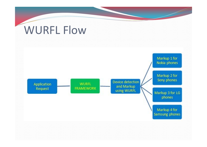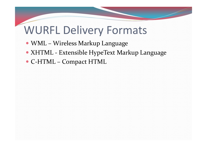#### WURFL Delivery Formats

- WML Wireless Markup Language
- XHTML ‐ Extensible HypeText Markup Language
- C-HTML Compact HTML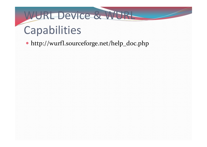### WURL Device & WURL Capabilities

http://wurfl.sourceforge.net/help\_doc.php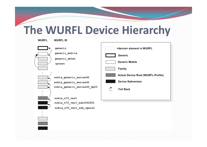#### **The WURFL Device Hierarchy**



| generic                     | <device> element in WURFL</device>        |
|-----------------------------|-------------------------------------------|
| generic_mobile              | Generic                                   |
| generic xhtml               | <b>Generic Mobile</b>                     |
| uptext                      | Family                                    |
|                             |                                           |
| nokia generic series40      | <b>Actual Device Root (WURFL-Profile)</b> |
| nokia generic series60      | <b>Device Subversion</b>                  |
| nokia generic series60 dp20 | <b>Fall Back</b>                          |
|                             |                                           |
| nokia n70 ver1              |                                           |
| nokia n70 ver1 sub1052601   |                                           |
| nokia n70 ver1 sub opera1   |                                           |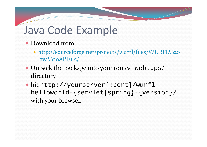#### Java Code Example

- Download from
	- http://sourceforge.net/projects/wurfl/files/WURFL%20 Java%20API/1.5/
- Unpack the package into your tomcat webapps/ directory
- hit http://yourserver[:port]/wurflhelloworld-{servlet|spring}-{version}/ with your browser.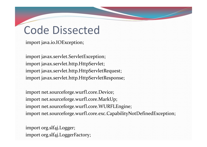import java.io.IOException;

import javax.servlet.ServletException; import javax.servlet.http.HttpServlet; import javax.servlet.http.HttpServletRequest; import javax.servlet.http.HttpServletResponse;

import net.sourceforge.wurfl.core.Device; import net.sourceforge.wurfl.core.MarkUp; import net.sourceforge.wurfl.core.WURFLEngine; import net.sourceforge.wurfl.core.exc.CapabilityNotDefinedException;

import org.slf4j.Logger; import org.slf4j.LoggerFactory;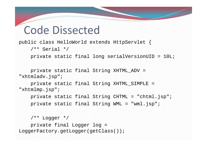public class HelloWorld extends HttpServlet {

```
/** Serial */
```
private static final long serialVersionUID = 10L;

```
private static final String XHTML_ADV = 
"xhtmladv.jsp";
```
private static final String XHTML\_SIMPLE = "xhtmlmp.jsp";

```
private static final String CHTML = "chtml.jsp";
private static final String WML = "wml.jsp";
```

```
/** Logger */
   private final Logger log = 
LoggerFactory.getLogger(getClass());
```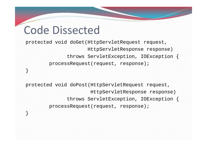}

}

protected void doGet(HttpServletRequest request, HttpServletResponse response) throws ServletException, IOException { processRequest(request, response);

protected void doPost(HttpServletRequest request, HttpServletResponse response) throws ServletException, IOException { processRequest(request, response);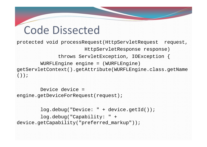protected void processRequest(HttpServletRequest request, HttpServletResponse response) throws ServletException, IOException { WURFLEngine engine = (WURFLEngine) getServletContext().getAttribute(WURFLEngine.class.getName  $()$ ;

Device device <sup>=</sup>engine.getDeviceForRequest(request);

log.debug("Device: " + device.getId()); log.debug("Capability: " + device.getCapability("preferred\_markup"));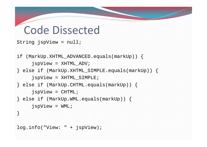```
String jspView = null;
if (MarkUp.XHTML_ADVANCED.equals(markUp)) {
     jspView = XHTML_ADV;
} else if (MarkUp.XHTML_SIMPLE.equals(markUp)) {
     jspView = XHTML_SIMPLE;
} else if (MarkUp.CHTML.equals(markUp)) {
     jspView = CHTML;
} else if (MarkUp.WML.equals(markUp)) {
     jspView = WML;
}
log.info("View: " + jspView);
```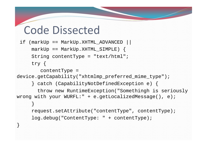```
if (markUp == MarkUp.XHTML ADVANCED ||
   markUp == MarkUp.KHTML_SIMPLE)String contentType ="text/html";
   try {
```

```
contentType =
```
}

```
device.getCapability("xhtmlmp_preferred_mime_type");
```

```
} catch (CapabilityNotDefinedException e) {
```

```
throw new RuntimeException("Somethingh is seriously 
wrong with your WURFL:" + e.getLocalizedMessage(), e);
     }
     request.setAttribute("contentType", contentType);
     log.debug("ContentType: " + contentType);
```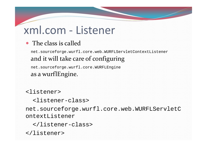#### xml.com ‐ Listener

#### • The class is called

net.sourceforge.wurfl.core.web.WURFLServletContextListener and it will take care of configuring

net.sourceforge.wurfl.core.WURFLEngine as a wurflEngine.

<listener>

<listener-class>

net.sourceforge.wurfl.core.web.WURFLServletC ontextListener

</listener-class>

</listener>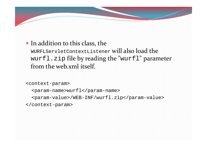#### • In addition to this class, the

<code>wURFLServletContextListener</code> will also load the wurfl.zip file by reading the "wurfl" parameter from the web.xml itself.

```
<context-param>
```

```
<param-name>wurfl</param-name>
```

```
<param-value>/WEB-INF/wurfl.zip</param-value>
```

```
</context-param>
```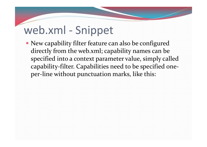#### web.xml - Snippet

 New capability filter feature can also be configured directly from the web.xml; capability names can be specified into <sup>a</sup> context parameter value, simply called capability‐filter. Capabilities need to be specified one‐ per‐line without punctuation marks, like this: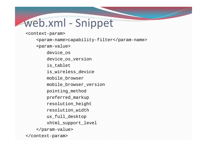### web.xml ‐ Snippet

<context-param>

<param-name>capability-filter</param-name> <param-value> device\_os device os version is tablet is wireless device mobile\_browser mobile\_browser\_version pointing\_method preferred\_markup resolution\_height resolution\_width ux full desktop xhtml\_support\_level </param-value> </context-param>